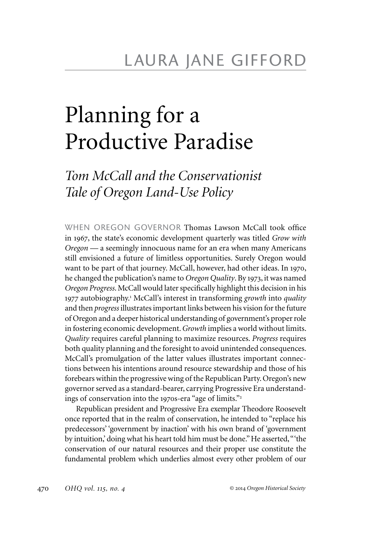## Planning for a Productive Paradise

*Tom McCall and the Conservationist Tale of Oregon Land-Use Policy*

WHEN OREGON GOVERNOR Thomas Lawson McCall took office in 1967, the state's economic development quarterly was titled *Grow with Oregon* — a seemingly innocuous name for an era when many Americans still envisioned a future of limitless opportunities. Surely Oregon would want to be part of that journey. McCall, however, had other ideas. In 1970, he changed the publication's name to *Oregon Quality*. By 1973, it was named *Oregon Progress*. McCall would later specifically highlight this decision in his 1977 autobiography.<sup>1</sup> McCall's interest in transforming *growth* into *quality* and then *progress* illustrates important links between his vision for the future of Oregon and a deeper historical understanding of government's proper role in fostering economic development. *Growth* implies a world without limits. *Quality* requires careful planning to maximize resources. *Progress* requires both quality planning and the foresight to avoid unintended consequences. McCall's promulgation of the latter values illustrates important connections between his intentions around resource stewardship and those of his forebears within the progressive wing of the Republican Party. Oregon's new governor served as a standard-bearer, carrying Progressive Era understandings of conservation into the 1970s-era "age of limits."<sup>2</sup>

Republican president and Progressive Era exemplar Theodore Roosevelt once reported that in the realm of conservation, he intended to "replace his predecessors' 'government by inaction' with his own brand of 'government by intuition,' doing what his heart told him must be done." He asserted, "'the conservation of our natural resources and their proper use constitute the fundamental problem which underlies almost every other problem of our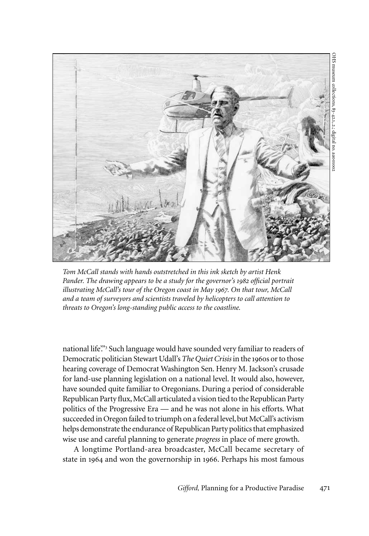

*Tom McCall stands with hands outstretched in this ink sketch by artist Henk Pander. The drawing appears to be a study for the governor's 1982 official portrait illustrating McCall's tour of the Oregon coast in May 1967. On that tour, McCall and a team of surveyors and scientists traveled by helicopters to call attention to threats to Oregon's long-standing public access to the coastline.*

national life."<sup>3</sup> Such language would have sounded very familiar to readers of Democratic politician Stewart Udall's *The Quiet Crisis* in the 1960s or to those hearing coverage of Democrat Washington Sen. Henry M. Jackson's crusade for land-use planning legislation on a national level. It would also, however, have sounded quite familiar to Oregonians. During a period of considerable Republican Party flux, McCall articulated a vision tied to the Republican Party politics of the Progressive Era — and he was not alone in his efforts. What succeeded in Oregon failed to triumph on a federal level, but McCall's activism helps demonstrate the endurance of Republican Party politics that emphasized wise use and careful planning to generate *progress* in place of mere growth.

A longtime Portland-area broadcaster, McCall became secretary of state in 1964 and won the governorship in 1966. Perhaps his most famous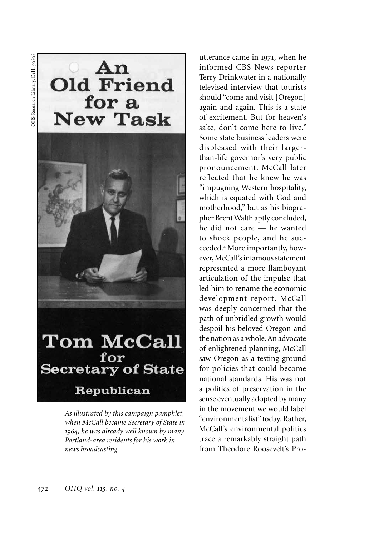An **Old Friend** for a **New Task** 

## **Tom McCall** for **Secretary of State**

Republican

*As illustrated by this campaign pamphlet, when McCall became Secretary of State in 1964, he was already well known by many Portland-area residents for his work in news broadcasting.*

utterance came in 1971, when he informed CBS News reporter Terry Drinkwater in a nationally televised interview that tourists should "come and visit [Oregon] again and again. This is a state of excitement. But for heaven's sake, don't come here to live." Some state business leaders were displeased with their largerthan-life governor's very public pronouncement. McCall later reflected that he knew he was "impugning Western hospitality, which is equated with God and motherhood," but as his biographer Brent Walth aptly concluded, he did not care — he wanted to shock people, and he succeeded.<sup>4</sup> More importantly, however, McCall's infamous statement represented a more flamboyant articulation of the impulse that led him to rename the economic development report. McCall was deeply concerned that the path of unbridled growth would despoil his beloved Oregon and the nation as a whole. An advocate of enlightened planning, McCall saw Oregon as a testing ground for policies that could become national standards. His was not a politics of preservation in the sense eventually adopted by many in the movement we would label "environmentalist" today. Rather, McCall's environmental politics trace a remarkably straight path from Theodore Roosevelt's Pro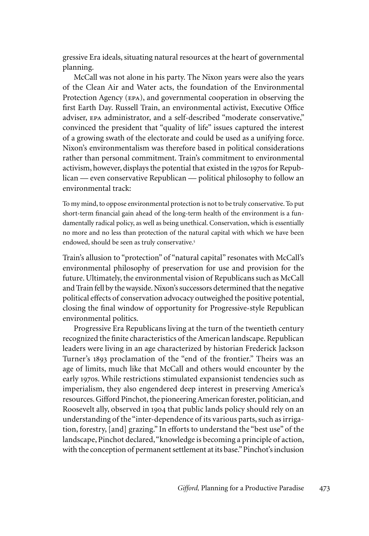gressive Era ideals, situating natural resources at the heart of governmental planning.

McCall was not alone in his party. The Nixon years were also the years of the Clean Air and Water acts, the foundation of the Environmental Protection Agency (epa), and governmental cooperation in observing the first Earth Day. Russell Train, an environmental activist, Executive Office adviser, epa administrator, and a self-described "moderate conservative," convinced the president that "quality of life" issues captured the interest of a growing swath of the electorate and could be used as a unifying force. Nixon's environmentalism was therefore based in political considerations rather than personal commitment. Train's commitment to environmental activism, however, displays the potential that existed in the 1970s for Republican — even conservative Republican — political philosophy to follow an environmental track:

To my mind, to oppose environmental protection is not to be truly conservative. To put short-term financial gain ahead of the long-term health of the environment is a fundamentally radical policy, as well as being unethical. Conservation, which is essentially no more and no less than protection of the natural capital with which we have been endowed, should be seen as truly conservative.<sup>5</sup>

Train's allusion to "protection" of "natural capital" resonates with McCall's environmental philosophy of preservation for use and provision for the future. Ultimately, the environmental vision of Republicans such as McCall and Train fell by the wayside. Nixon's successors determined that the negative political effects of conservation advocacy outweighed the positive potential, closing the final window of opportunity for Progressive-style Republican environmental politics.

Progressive Era Republicans living at the turn of the twentieth century recognized the finite characteristics of the American landscape. Republican leaders were living in an age characterized by historian Frederick Jackson Turner's 1893 proclamation of the "end of the frontier." Theirs was an age of limits, much like that McCall and others would encounter by the early 1970s. While restrictions stimulated expansionist tendencies such as imperialism, they also engendered deep interest in preserving America's resources. Gifford Pinchot, the pioneering American forester, politician, and Roosevelt ally, observed in 1904 that public lands policy should rely on an understanding of the "inter-dependence of its various parts, such as irrigation, forestry, [and] grazing." In efforts to understand the "best use" of the landscape, Pinchot declared, "knowledge is becoming a principle of action, with the conception of permanent settlement at its base." Pinchot's inclusion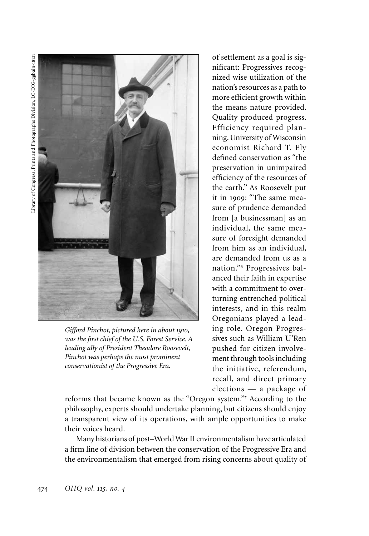

*Gifford Pinchot, pictured here in about 1910, was the first chief of the U.S. Forest Service. A leading ally of President Theodore Roosevelt, Pinchot was perhaps the most prominent conservationist of the Progressive Era.*

of settlement as a goal is significant: Progressives recognized wise utilization of the nation's resources as a path to more efficient growth within the means nature provided. Quality produced progress. Efficiency required planning. University of Wisconsin economist Richard T. Ely defined conservation as "the preservation in unimpaired efficiency of the resources of the earth." As Roosevelt put it in 1909: "The same measure of prudence demanded from [a businessman] as an individual, the same measure of foresight demanded from him as an individual, are demanded from us as a nation."<sup>6</sup> Progressives balanced their faith in expertise with a commitment to overturning entrenched political interests, and in this realm Oregonians played a leading role. Oregon Progressives such as William U'Ren pushed for citizen involvement through tools including the initiative, referendum, recall, and direct primary elections — a package of

reforms that became known as the "Oregon system."<sup>7</sup> According to the philosophy, experts should undertake planning, but citizens should enjoy a transparent view of its operations, with ample opportunities to make their voices heard.

Many historians of post–World War II environmentalism have articulated a firm line of division between the conservation of the Progressive Era and the environmentalism that emerged from rising concerns about quality of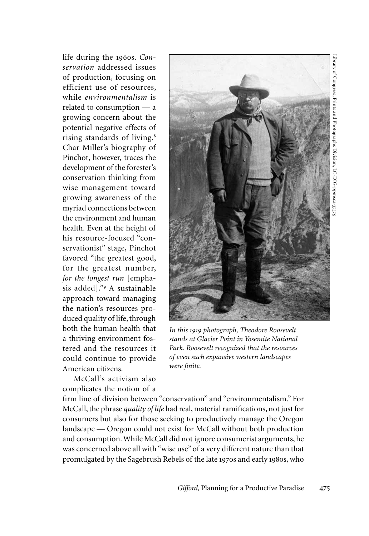Library of Congress, Prints and Photographs Division, LC-DIG-ppmscaibrary of Congress, Prints and Photographs Division, LC-DIG-ppmsca-37577

life during the 1960s. *Conservation* addressed issues of production, focusing on efficient use of resources, while *environmentalism* is related to consumption — a growing concern about the potential negative effects of rising standards of living.<sup>8</sup> Char Miller's biography of Pinchot, however, traces the development of the forester's conservation thinking from wise management toward growing awareness of the myriad connections between the environment and human health. Even at the height of his resource-focused "conservationist" stage, Pinchot favored "the greatest good, for the greatest number, *for the longest run* [emphasis added]."<sup>9</sup> A sustainable approach toward managing the nation's resources produced quality of life, through both the human health that a thriving environment fostered and the resources it could continue to provide American citizens.

McCall's activism also complicates the notion of a



*In this 1919 photograph, Theodore Roosevelt stands at Glacier Point in Yosemite National Park. Roosevelt recognized that the resources of even such expansive western landscapes were finite.*

firm line of division between "conservation" and "environmentalism." For McCall, the phrase *quality of life* had real, material ramifications, not just for consumers but also for those seeking to productively manage the Oregon landscape — Oregon could not exist for McCall without both production and consumption. While McCall did not ignore consumerist arguments, he was concerned above all with "wise use" of a very different nature than that promulgated by the Sagebrush Rebels of the late 1970s and early 1980s, who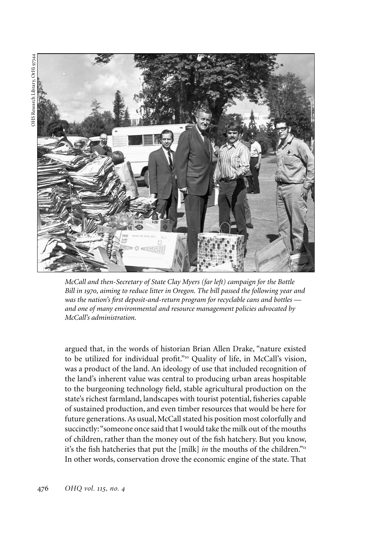

*McCall and then-Secretary of State Clay Myers (far left) campaign for the Bottle Bill in 1970, aiming to reduce litter in Oregon. The bill passed the following year and was the nation's first deposit-and-return program for recyclable cans and bottles and one of many environmental and resource management policies advocated by McCall's administration.*

argued that, in the words of historian Brian Allen Drake, "nature existed to be utilized for individual profit."<sup>10</sup> Quality of life, in McCall's vision, was a product of the land. An ideology of use that included recognition of the land's inherent value was central to producing urban areas hospitable to the burgeoning technology field, stable agricultural production on the state's richest farmland, landscapes with tourist potential, fisheries capable of sustained production, and even timber resources that would be here for future generations. As usual, McCall stated his position most colorfully and succinctly: "someone once said that I would take the milk out of the mouths of children, rather than the money out of the fish hatchery. But you know, it's the fish hatcheries that put the [milk] *in* the mouths of the children."<sup>11</sup> In other words, conservation drove the economic engine of the state. That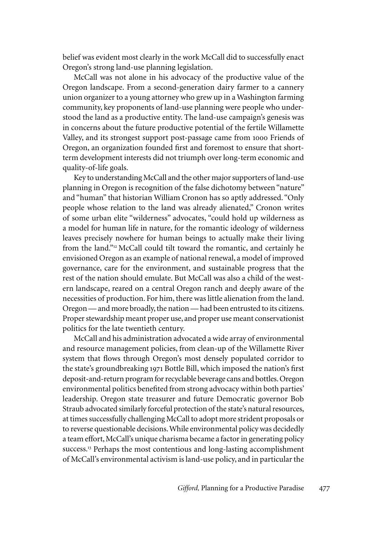belief was evident most clearly in the work McCall did to successfully enact Oregon's strong land-use planning legislation.

McCall was not alone in his advocacy of the productive value of the Oregon landscape. From a second-generation dairy farmer to a cannery union organizer to a young attorney who grew up in a Washington farming community, key proponents of land-use planning were people who understood the land as a productive entity. The land-use campaign's genesis was in concerns about the future productive potential of the fertile Willamette Valley, and its strongest support post-passage came from 1000 Friends of Oregon, an organization founded first and foremost to ensure that shortterm development interests did not triumph over long-term economic and quality-of-life goals.

Key to understanding McCall and the other major supporters of land-use planning in Oregon is recognition of the false dichotomy between "nature" and "human" that historian William Cronon has so aptly addressed. "Only people whose relation to the land was already alienated," Cronon writes of some urban elite "wilderness" advocates, "could hold up wilderness as a model for human life in nature, for the romantic ideology of wilderness leaves precisely nowhere for human beings to actually make their living from the land."<sup>12</sup> McCall could tilt toward the romantic, and certainly he envisioned Oregon as an example of national renewal, a model of improved governance, care for the environment, and sustainable progress that the rest of the nation should emulate. But McCall was also a child of the western landscape, reared on a central Oregon ranch and deeply aware of the necessities of production. For him, there was little alienation from the land. Oregon — and more broadly, the nation — had been entrusted to its citizens. Proper stewardship meant proper use, and proper use meant conservationist politics for the late twentieth century.

McCall and his administration advocated a wide array of environmental and resource management policies, from clean-up of the Willamette River system that flows through Oregon's most densely populated corridor to the state's groundbreaking 1971 Bottle Bill, which imposed the nation's first deposit-and-return program for recyclable beverage cans and bottles. Oregon environmental politics benefited from strong advocacy within both parties' leadership. Oregon state treasurer and future Democratic governor Bob Straub advocated similarly forceful protection of the state's natural resources, at times successfully challenging McCall to adopt more strident proposals or to reverse questionable decisions. While environmental policy was decidedly a team effort, McCall's unique charisma became a factor in generating policy success.<sup>13</sup> Perhaps the most contentious and long-lasting accomplishment of McCall's environmental activism is land-use policy, and in particular the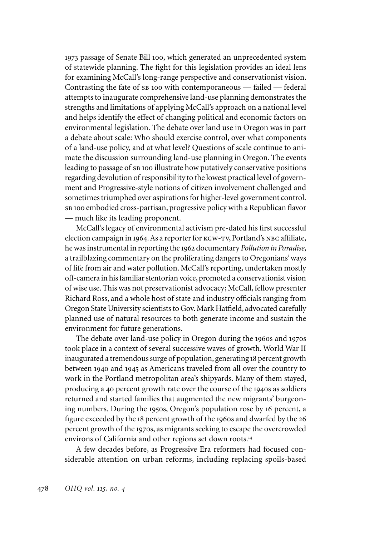1973 passage of Senate Bill 100, which generated an unprecedented system of statewide planning. The fight for this legislation provides an ideal lens for examining McCall's long-range perspective and conservationist vision. Contrasting the fate of sb 100 with contemporaneous - failed - federal attempts to inaugurate comprehensive land-use planning demonstrates the strengths and limitations of applying McCall's approach on a national level and helps identify the effect of changing political and economic factors on environmental legislation. The debate over land use in Oregon was in part a debate about scale: Who should exercise control, over what components of a land-use policy, and at what level? Questions of scale continue to animate the discussion surrounding land-use planning in Oregon. The events leading to passage of sb 100 illustrate how putatively conservative positions regarding devolution of responsibility to the lowest practical level of government and Progressive-style notions of citizen involvement challenged and sometimes triumphed over aspirations for higher-level government control. sb 100 embodied cross-partisan, progressive policy with a Republican flavor — much like its leading proponent.

McCall's legacy of environmental activism pre-dated his first successful election campaign in 1964. As a reporter for KGW-TV, Portland's NBC affiliate, he was instrumental in reporting the 1962 documentary *Pollution in Paradise*, a trailblazing commentary on the proliferating dangers to Oregonians' ways of life from air and water pollution. McCall's reporting, undertaken mostly off-camera in his familiar stentorian voice, promoted a conservationist vision of wise use. This was not preservationist advocacy; McCall, fellow presenter Richard Ross, and a whole host of state and industry officials ranging from Oregon State University scientists to Gov. Mark Hatfield, advocated carefully planned use of natural resources to both generate income and sustain the environment for future generations.

The debate over land-use policy in Oregon during the 1960s and 1970s took place in a context of several successive waves of growth. World War II inaugurated a tremendous surge of population, generating 18 percent growth between 1940 and 1945 as Americans traveled from all over the country to work in the Portland metropolitan area's shipyards. Many of them stayed, producing a 40 percent growth rate over the course of the 1940s as soldiers returned and started families that augmented the new migrants' burgeoning numbers. During the 1950s, Oregon's population rose by 16 percent, a figure exceeded by the 18 percent growth of the 1960s and dwarfed by the 26 percent growth of the 1970s, as migrants seeking to escape the overcrowded environs of California and other regions set down roots.<sup>14</sup>

A few decades before, as Progressive Era reformers had focused considerable attention on urban reforms, including replacing spoils-based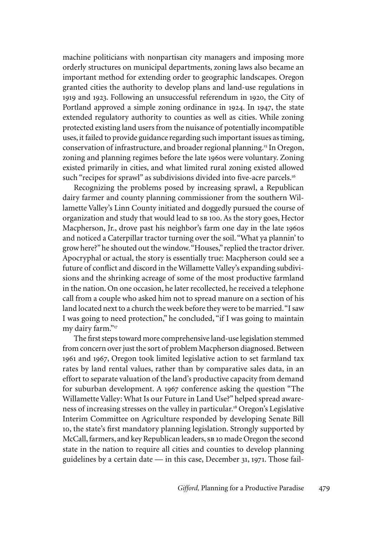machine politicians with nonpartisan city managers and imposing more orderly structures on municipal departments, zoning laws also became an important method for extending order to geographic landscapes. Oregon granted cities the authority to develop plans and land-use regulations in 1919 and 1923. Following an unsuccessful referendum in 1920, the City of Portland approved a simple zoning ordinance in 1924. In 1947, the state extended regulatory authority to counties as well as cities. While zoning protected existing land users from the nuisance of potentially incompatible uses, it failed to provide guidance regarding such important issues as timing, conservation of infrastructure, and broader regional planning.<sup>15</sup> In Oregon, zoning and planning regimes before the late 1960s were voluntary. Zoning existed primarily in cities, and what limited rural zoning existed allowed such "recipes for sprawl" as subdivisions divided into five-acre parcels.<sup>16</sup>

Recognizing the problems posed by increasing sprawl, a Republican dairy farmer and county planning commissioner from the southern Willamette Valley's Linn County initiated and doggedly pursued the course of organization and study that would lead to sb 100. As the story goes, Hector Macpherson, Jr., drove past his neighbor's farm one day in the late 1960s and noticed a Caterpillar tractor turning over the soil. "What ya plannin' to grow here?" he shouted out the window. "Houses," replied the tractor driver. Apocryphal or actual, the story is essentially true: Macpherson could see a future of conflict and discord in the Willamette Valley's expanding subdivisions and the shrinking acreage of some of the most productive farmland in the nation. On one occasion, he later recollected, he received a telephone call from a couple who asked him not to spread manure on a section of his land located next to a church the week before they were to be married. "I saw I was going to need protection," he concluded, "if I was going to maintain my dairy farm."<sup>17</sup>

The first steps toward more comprehensive land-use legislation stemmed from concern over just the sort of problem Macpherson diagnosed. Between 1961 and 1967, Oregon took limited legislative action to set farmland tax rates by land rental values, rather than by comparative sales data, in an effort to separate valuation of the land's productive capacity from demand for suburban development. A 1967 conference asking the question "The Willamette Valley: What Is our Future in Land Use?" helped spread awareness of increasing stresses on the valley in particular.<sup>18</sup> Oregon's Legislative Interim Committee on Agriculture responded by developing Senate Bill 10, the state's first mandatory planning legislation. Strongly supported by McCall, farmers, and key Republican leaders, SB 10 made Oregon the second state in the nation to require all cities and counties to develop planning guidelines by a certain date — in this case, December 31, 1971. Those fail-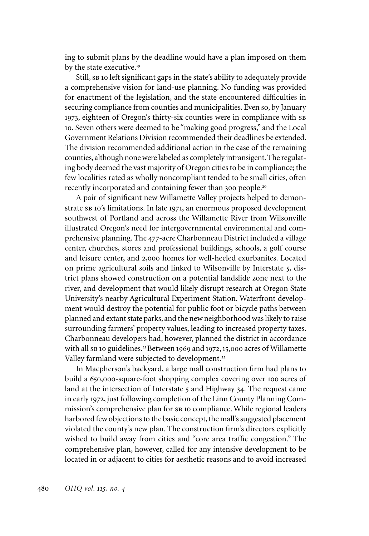ing to submit plans by the deadline would have a plan imposed on them by the state executive.<sup>19</sup>

Still, SB 10 left significant gaps in the state's ability to adequately provide a comprehensive vision for land-use planning. No funding was provided for enactment of the legislation, and the state encountered difficulties in securing compliance from counties and municipalities. Even so, by January 1973, eighteen of Oregon's thirty-six counties were in compliance with sb 10. Seven others were deemed to be "making good progress," and the Local Government Relations Division recommended their deadlines be extended. The division recommended additional action in the case of the remaining counties, although none were labeled as completely intransigent. The regulating body deemed the vast majority of Oregon cities to be in compliance; the few localities rated as wholly noncompliant tended to be small cities, often recently incorporated and containing fewer than 300 people.<sup>20</sup>

A pair of significant new Willamette Valley projects helped to demonstrate sb 10's limitations. In late 1971, an enormous proposed development southwest of Portland and across the Willamette River from Wilsonville illustrated Oregon's need for intergovernmental environmental and comprehensive planning. The 477-acre Charbonneau District included a village center, churches, stores and professional buildings, schools, a golf course and leisure center, and 2,000 homes for well-heeled exurbanites. Located on prime agricultural soils and linked to Wilsonville by Interstate 5, district plans showed construction on a potential landslide zone next to the river, and development that would likely disrupt research at Oregon State University's nearby Agricultural Experiment Station. Waterfront development would destroy the potential for public foot or bicycle paths between planned and extant state parks, and the new neighborhood was likely to raise surrounding farmers' property values, leading to increased property taxes. Charbonneau developers had, however, planned the district in accordance with all sb 10 guidelines.<sup>21</sup> Between 1969 and 1972, 15,000 acres of Willamette Valley farmland were subjected to development.<sup>22</sup>

In Macpherson's backyard, a large mall construction firm had plans to build a 650,000-square-foot shopping complex covering over 100 acres of land at the intersection of Interstate 5 and Highway 34. The request came in early 1972, just following completion of the Linn County Planning Commission's comprehensive plan for sb 10 compliance. While regional leaders harbored few objections to the basic concept, the mall's suggested placement violated the county's new plan. The construction firm's directors explicitly wished to build away from cities and "core area traffic congestion." The comprehensive plan, however, called for any intensive development to be located in or adjacent to cities for aesthetic reasons and to avoid increased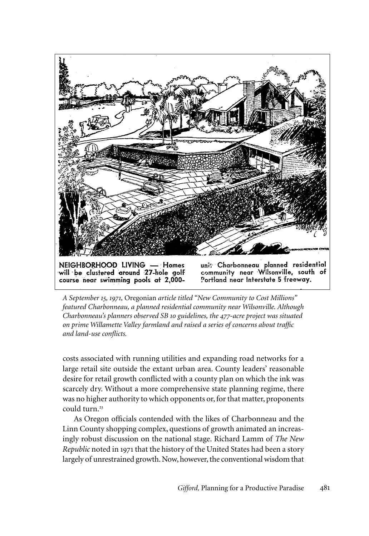

*A September 15, 1971,* Oregonian *article titled "New Community to Cost Millions" featured Charbonneau, a planned residential community near Wilsonville. Although Charbonneau's planners observed SB 10 guidelines, the 477-acre project was situated on prime Willamette Valley farmland and raised a series of concerns about traffic and land-use conflicts.*

costs associated with running utilities and expanding road networks for a large retail site outside the extant urban area. County leaders' reasonable desire for retail growth conflicted with a county plan on which the ink was scarcely dry. Without a more comprehensive state planning regime, there was no higher authority to which opponents or, for that matter, proponents could turn.<sup>23</sup>

As Oregon officials contended with the likes of Charbonneau and the Linn County shopping complex, questions of growth animated an increasingly robust discussion on the national stage. Richard Lamm of *The New Republic* noted in 1971 that the history of the United States had been a story largely of unrestrained growth. Now, however, the conventional wisdom that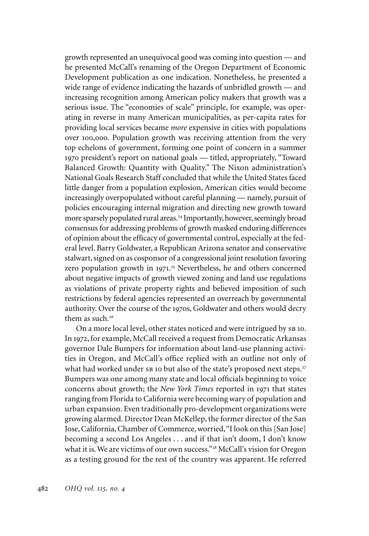growth represented an unequivocal good was coming into question — and he presented McCall's renaming of the Oregon Department of Economic Development publication as one indication. Nonetheless, he presented a wide range of evidence indicating the hazards of unbridled growth — and increasing recognition among American policy makers that growth was a serious issue. The "economies of scale" principle, for example, was operating in reverse in many American municipalities, as per-capita rates for providing local services became *more* expensive in cities with populations over 100,000. Population growth was receiving attention from the very top echelons of government, forming one point of concern in a summer 1970 president's report on national goals — titled, appropriately, "Toward Balanced Growth: Quantity with Quality." The Nixon administration's National Goals Research Staff concluded that while the United States faced little danger from a population explosion, American cities would become increasingly overpopulated without careful planning — namely, pursuit of policies encouraging internal migration and directing new growth toward more sparsely populated rural areas.<sup>24</sup> Importantly, however, seemingly broad consensus for addressing problems of growth masked enduring differences of opinion about the efficacy of governmental control, especially at the federal level. Barry Goldwater, a Republican Arizona senator and conservative stalwart, signed on as cosponsor of a congressional joint resolution favoring zero population growth in 1971.<sup>25</sup> Nevertheless, he and others concerned about negative impacts of growth viewed zoning and land use regulations as violations of private property rights and believed imposition of such restrictions by federal agencies represented an overreach by governmental authority. Over the course of the 1970s, Goldwater and others would decry them as such.<sup>26</sup>

On a more local level, other states noticed and were intrigued by SB 10. In 1972, for example, McCall received a request from Democratic Arkansas governor Dale Bumpers for information about land-use planning activities in Oregon, and McCall's office replied with an outline not only of what had worked under SB 10 but also of the state's proposed next steps.<sup>27</sup> Bumpers was one among many state and local officials beginning to voice concerns about growth; the *New York Times* reported in 1971 that states ranging from Florida to California were becoming wary of population and urban expansion. Even traditionally pro-development organizations were growing alarmed. Director Dean McKellep, the former director of the San Jose, California, Chamber of Commerce, worried, "I look on this [San Jose] becoming a second Los Angeles . . . and if that isn't doom, I don't know what it is. We are victims of our own success."<sup>28</sup> McCall's vision for Oregon as a testing ground for the rest of the country was apparent. He referred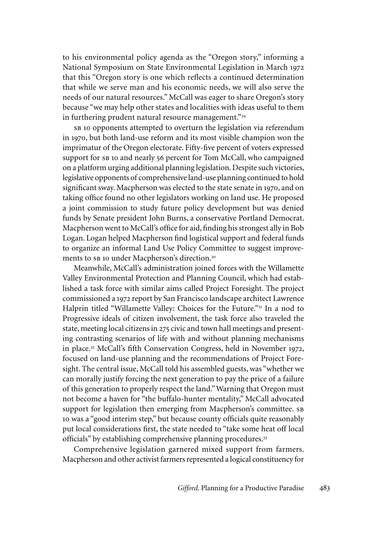to his environmental policy agenda as the "Oregon story," informing a National Symposium on State Environmental Legislation in March 1972 that this "Oregon story is one which reflects a continued determination that while we serve man and his economic needs, we will also serve the needs of our natural resources." McCall was eager to share Oregon's story because "we may help other states and localities with ideas useful to them in furthering prudent natural resource management."<sup>29</sup>

SB 10 opponents attempted to overturn the legislation via referendum in 1970, but both land-use reform and its most visible champion won the imprimatur of the Oregon electorate. Fifty-five percent of voters expressed support for sB 10 and nearly 56 percent for Tom McCall, who campaigned on a platform urging additional planning legislation. Despite such victories, legislative opponents of comprehensive land-use planning continued to hold significant sway. Macpherson was elected to the state senate in 1970, and on taking office found no other legislators working on land use. He proposed a joint commission to study future policy development but was denied funds by Senate president John Burns, a conservative Portland Democrat. Macpherson went to McCall's office for aid, finding his strongest ally in Bob Logan. Logan helped Macpherson find logistical support and federal funds to organize an informal Land Use Policy Committee to suggest improvements to sB 10 under Macpherson's direction.<sup>30</sup>

Meanwhile, McCall's administration joined forces with the Willamette Valley Environmental Protection and Planning Council, which had established a task force with similar aims called Project Foresight. The project commissioned a 1972 report by San Francisco landscape architect Lawrence Halprin titled "Willamette Valley: Choices for the Future."<sup>31</sup> In a nod to Progressive ideals of citizen involvement, the task force also traveled the state, meeting local citizens in 275 civic and town hall meetings and presenting contrasting scenarios of life with and without planning mechanisms in place.<sup>32</sup> McCall's fifth Conservation Congress, held in November 1972, focused on land-use planning and the recommendations of Project Foresight. The central issue, McCall told his assembled guests, was "whether we can morally justify forcing the next generation to pay the price of a failure of this generation to properly respect the land." Warning that Oregon must not become a haven for "the buffalo-hunter mentality," McCall advocated support for legislation then emerging from Macpherson's committee. SB 10 was a "good interim step," but because county officials quite reasonably put local considerations first, the state needed to "take some heat off local officials" by establishing comprehensive planning procedures.<sup>33</sup>

Comprehensive legislation garnered mixed support from farmers. Macpherson and other activist farmers represented a logical constituency for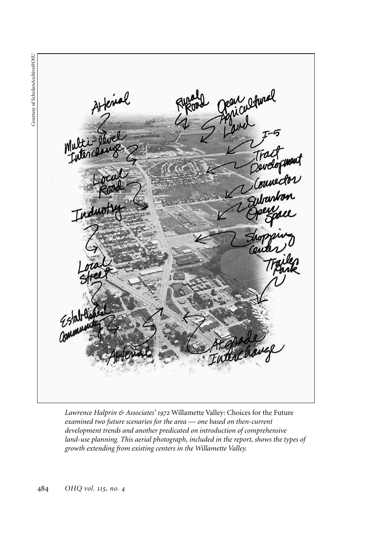

*Lawrence Halprin & Associates' 1972* Willamette Valley: Choices for the Future *examined two future scenarios for the area — one based on then-current development trends and another predicated on introduction of comprehensive land-use planning. This aerial photograph, included in the report, shows the types of growth extending from existing centers in the Willamette Valley.*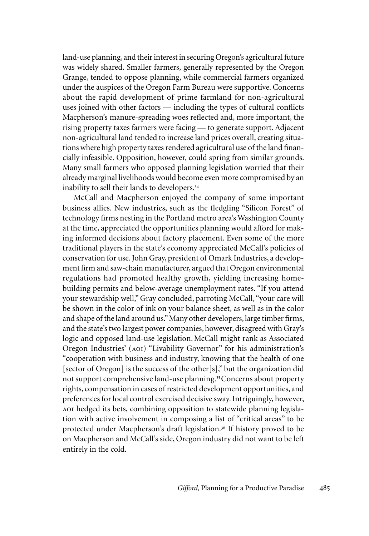land-use planning, and their interest in securing Oregon's agricultural future was widely shared. Smaller farmers, generally represented by the Oregon Grange, tended to oppose planning, while commercial farmers organized under the auspices of the Oregon Farm Bureau were supportive. Concerns about the rapid development of prime farmland for non-agricultural uses joined with other factors — including the types of cultural conflicts Macpherson's manure-spreading woes reflected and, more important, the rising property taxes farmers were facing — to generate support. Adjacent non-agricultural land tended to increase land prices overall, creating situations where high property taxes rendered agricultural use of the land financially infeasible. Opposition, however, could spring from similar grounds. Many small farmers who opposed planning legislation worried that their already marginal livelihoods would become even more compromised by an inability to sell their lands to developers.<sup>34</sup>

McCall and Macpherson enjoyed the company of some important business allies. New industries, such as the fledgling "Silicon Forest" of technology firms nesting in the Portland metro area's Washington County at the time, appreciated the opportunities planning would afford for making informed decisions about factory placement. Even some of the more traditional players in the state's economy appreciated McCall's policies of conservation for use. John Gray, president of Omark Industries, a development firm and saw-chain manufacturer, argued that Oregon environmental regulations had promoted healthy growth, yielding increasing homebuilding permits and below-average unemployment rates. "If you attend your stewardship well," Gray concluded, parroting McCall, "your care will be shown in the color of ink on your balance sheet, as well as in the color and shape of the land around us." Many other developers, large timber firms, and the state's two largest power companies, however, disagreed with Gray's logic and opposed land-use legislation.McCall might rank as Associated Oregon Industries' (AOI) "Livability Governor" for his administration's "cooperation with business and industry, knowing that the health of one [sector of Oregon] is the success of the other[s]," but the organization did not support comprehensive land-use planning.<sup>35</sup> Concerns about property rights, compensation in cases of restricted development opportunities, and preferences for local control exercised decisive sway. Intriguingly, however, aoi hedged its bets, combining opposition to statewide planning legislation with active involvement in composing a list of "critical areas" to be protected under Macpherson's draft legislation.<sup>36</sup> If history proved to be on Macpherson and McCall's side, Oregon industry did not want to be left entirely in the cold.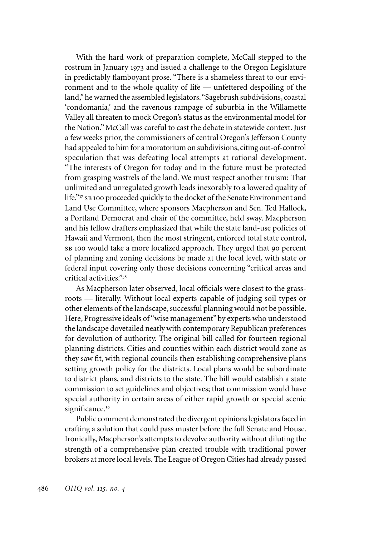With the hard work of preparation complete, McCall stepped to the rostrum in January 1973 and issued a challenge to the Oregon Legislature in predictably flamboyant prose. "There is a shameless threat to our environment and to the whole quality of life — unfettered despoiling of the land," he warned the assembled legislators. "Sagebrush subdivisions, coastal 'condomania,' and the ravenous rampage of suburbia in the Willamette Valley all threaten to mock Oregon's status as the environmental model for the Nation." McCall was careful to cast the debate in statewide context. Just a few weeks prior, the commissioners of central Oregon's Jefferson County had appealed to him for a moratorium on subdivisions, citing out-of-control speculation that was defeating local attempts at rational development. "The interests of Oregon for today and in the future must be protected from grasping wastrels of the land. We must respect another truism: That unlimited and unregulated growth leads inexorably to a lowered quality of life."<sup>37</sup> SB 100 proceeded quickly to the docket of the Senate Environment and Land Use Committee, where sponsors Macpherson and Sen. Ted Hallock, a Portland Democrat and chair of the committee, held sway. Macpherson and his fellow drafters emphasized that while the state land-use policies of Hawaii and Vermont, then the most stringent, enforced total state control, sb 100 would take a more localized approach. They urged that 90 percent of planning and zoning decisions be made at the local level, with state or federal input covering only those decisions concerning "critical areas and critical activities."<sup>38</sup>

As Macpherson later observed, local officials were closest to the grassroots — literally. Without local experts capable of judging soil types or other elements of the landscape, successful planning would not be possible. Here, Progressive ideals of "wise management" by experts who understood the landscape dovetailed neatly with contemporary Republican preferences for devolution of authority. The original bill called for fourteen regional planning districts. Cities and counties within each district would zone as they saw fit, with regional councils then establishing comprehensive plans setting growth policy for the districts. Local plans would be subordinate to district plans, and districts to the state. The bill would establish a state commission to set guidelines and objectives; that commission would have special authority in certain areas of either rapid growth or special scenic significance.<sup>39</sup>

Public comment demonstrated the divergent opinions legislators faced in crafting a solution that could pass muster before the full Senate and House. Ironically, Macpherson's attempts to devolve authority without diluting the strength of a comprehensive plan created trouble with traditional power brokers at more local levels. The League of Oregon Cities had already passed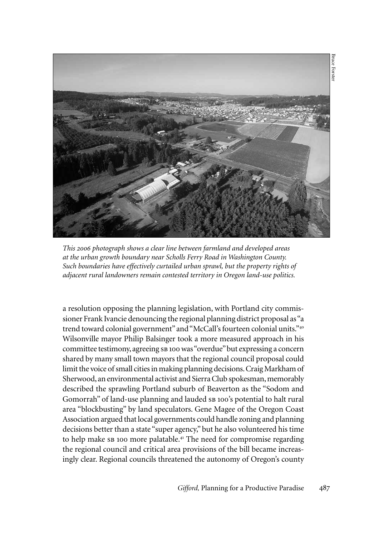

*This 2006 photograph shows a clear line between farmland and developed areas at the urban growth boundary near Scholls Ferry Road in Washington County. Such boundaries have effectively curtailed urban sprawl, but the property rights of adjacent rural landowners remain contested territory in Oregon land-use politics.*

a resolution opposing the planning legislation, with Portland city commissioner Frank Ivancie denouncing the regional planning district proposal as "a trend toward colonial government" and "McCall's fourteen colonial units."<sup>40</sup> Wilsonville mayor Philip Balsinger took a more measured approach in his committee testimony, agreeing sb 100 was "overdue" but expressing a concern shared by many small town mayors that the regional council proposal could limit the voice of small cities in making planning decisions. Craig Markham of Sherwood, an environmental activist and Sierra Club spokesman, memorably described the sprawling Portland suburb of Beaverton as the "Sodom and Gomorrah" of land-use planning and lauded sb 100's potential to halt rural area "blockbusting" by land speculators. Gene Magee of the Oregon Coast Association argued that local governments could handle zoning and planning decisions better than a state "super agency," but he also volunteered his time to help make sB 100 more palatable.<sup>41</sup> The need for compromise regarding the regional council and critical area provisions of the bill became increasingly clear. Regional councils threatened the autonomy of Oregon's county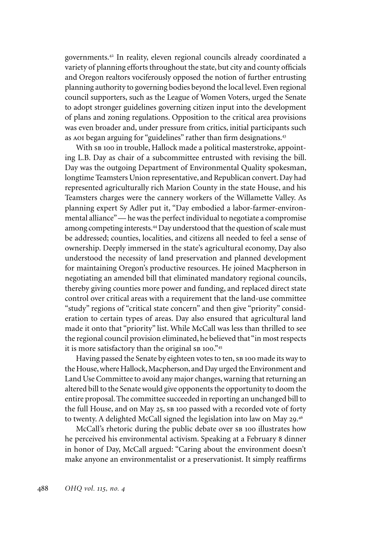governments.<sup>42</sup> In reality, eleven regional councils already coordinated a variety of planning efforts throughout the state, but city and county officials and Oregon realtors vociferously opposed the notion of further entrusting planning authority to governing bodies beyond the local level. Even regional council supporters, such as the League of Women Voters, urged the Senate to adopt stronger guidelines governing citizen input into the development of plans and zoning regulations. Opposition to the critical area provisions was even broader and, under pressure from critics, initial participants such as AOI began arguing for "guidelines" rather than firm designations.<sup>43</sup>

With sb 100 in trouble, Hallock made a political masterstroke, appointing L.B. Day as chair of a subcommittee entrusted with revising the bill. Day was the outgoing Department of Environmental Quality spokesman, longtime Teamsters Union representative, and Republican convert. Day had represented agriculturally rich Marion County in the state House, and his Teamsters charges were the cannery workers of the Willamette Valley. As planning expert Sy Adler put it, "Day embodied a labor-farmer-environmental alliance" — he was the perfect individual to negotiate a compromise among competing interests.<sup>44</sup> Day understood that the question of scale must be addressed; counties, localities, and citizens all needed to feel a sense of ownership. Deeply immersed in the state's agricultural economy, Day also understood the necessity of land preservation and planned development for maintaining Oregon's productive resources. He joined Macpherson in negotiating an amended bill that eliminated mandatory regional councils, thereby giving counties more power and funding, and replaced direct state control over critical areas with a requirement that the land-use committee "study" regions of "critical state concern" and then give "priority" consideration to certain types of areas. Day also ensured that agricultural land made it onto that "priority" list. While McCall was less than thrilled to see the regional council provision eliminated, he believed that "in most respects it is more satisfactory than the original  $s$  100." $45$ 

Having passed the Senate by eighteen votes to ten, SB 100 made its way to the House, where Hallock, Macpherson, and Day urged the Environment and Land Use Committee to avoid any major changes, warning that returning an altered bill to the Senate would give opponents the opportunity to doom the entire proposal. The committee succeeded in reporting an unchanged bill to the full House, and on May 25, SB 100 passed with a recorded vote of forty to twenty. A delighted McCall signed the legislation into law on May 29. 46

McCall's rhetoric during the public debate over  $s$ B 100 illustrates how he perceived his environmental activism. Speaking at a February 8 dinner in honor of Day, McCall argued: "Caring about the environment doesn't make anyone an environmentalist or a preservationist. It simply reaffirms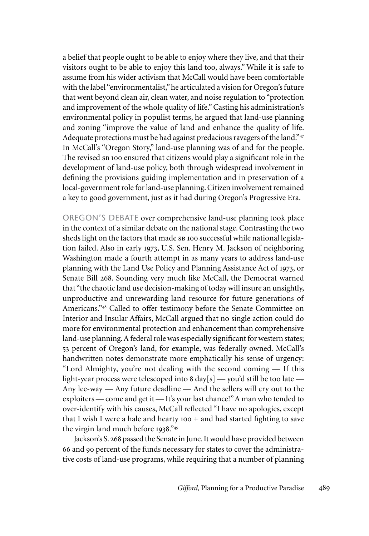a belief that people ought to be able to enjoy where they live, and that their visitors ought to be able to enjoy this land too, always." While it is safe to assume from his wider activism that McCall would have been comfortable with the label "environmentalist," he articulated a vision for Oregon's future that went beyond clean air, clean water, and noise regulation to "protection and improvement of the whole quality of life." Casting his administration's environmental policy in populist terms, he argued that land-use planning and zoning "improve the value of land and enhance the quality of life. Adequate protections must be had against predacious ravagers of the land."<sup>47</sup> In McCall's "Oregon Story," land-use planning was of and for the people. The revised sb 100 ensured that citizens would play a significant role in the development of land-use policy, both through widespread involvement in defining the provisions guiding implementation and in preservation of a local-government role for land-use planning. Citizen involvement remained a key to good government, just as it had during Oregon's Progressive Era.

OREGON'S DEBATE over comprehensive land-use planning took place in the context of a similar debate on the national stage. Contrasting the two sheds light on the factors that made s<sub>B</sub> 100 successful while national legislation failed. Also in early 1973, U.S. Sen. Henry M. Jackson of neighboring Washington made a fourth attempt in as many years to address land-use planning with the Land Use Policy and Planning Assistance Act of 1973, or Senate Bill 268. Sounding very much like McCall, the Democrat warned that "the chaotic land use decision-making of today will insure an unsightly, unproductive and unrewarding land resource for future generations of Americans."<sup>48</sup> Called to offer testimony before the Senate Committee on Interior and Insular Affairs, McCall argued that no single action could do more for environmental protection and enhancement than comprehensive land-use planning. A federal role was especially significant for western states; 53 percent of Oregon's land, for example, was federally owned. McCall's handwritten notes demonstrate more emphatically his sense of urgency: "Lord Almighty, you're not dealing with the second coming — If this light-year process were telescoped into 8 day[s] — you'd still be too late — Any lee-way — Any future deadline — And the sellers will cry out to the exploiters — come and get it — It's your last chance!" A man who tended to over-identify with his causes, McCall reflected "I have no apologies, except that I wish I were a hale and hearty 100  $+$  and had started fighting to save the virgin land much before 1938."<sup>49</sup>

Jackson's S. 268 passed the Senate in June. It would have provided between 66 and 90 percent of the funds necessary for states to cover the administrative costs of land-use programs, while requiring that a number of planning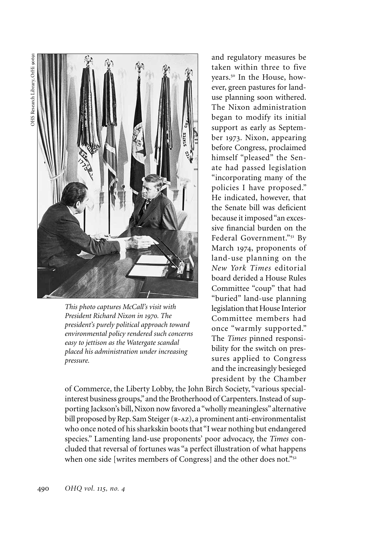

*This photo captures McCall's visit with President Richard Nixon in 1970. The president's purely political approach toward environmental policy rendered such concerns easy to jettison as the Watergate scandal placed his administration under increasing pressure.*

and regulatory measures be taken within three to five years.<sup>50</sup> In the House, however, green pastures for landuse planning soon withered. The Nixon administration began to modify its initial support as early as September 1973. Nixon, appearing before Congress, proclaimed himself "pleased" the Senate had passed legislation "incorporating many of the policies I have proposed." He indicated, however, that the Senate bill was deficient because it imposed "an excessive financial burden on the Federal Government."<sup>51</sup> By March 1974, proponents of land-use planning on the *New York Times* editorial board derided a House Rules Committee "coup" that had "buried" land-use planning legislation that House Interior Committee members had once "warmly supported." The *Times* pinned responsibility for the switch on pressures applied to Congress and the increasingly besieged president by the Chamber

of Commerce, the Liberty Lobby, the John Birch Society, "various specialinterest business groups," and the Brotherhood of Carpenters. Instead of supporting Jackson's bill, Nixon now favored a "wholly meaningless" alternative bill proposed by Rep. Sam Steiger (R-AZ), a prominent anti-environmentalist who once noted of his sharkskin boots that "I wear nothing but endangered species." Lamenting land-use proponents' poor advocacy, the *Times* concluded that reversal of fortunes was "a perfect illustration of what happens when one side [writes members of Congress] and the other does not."<sup>52</sup>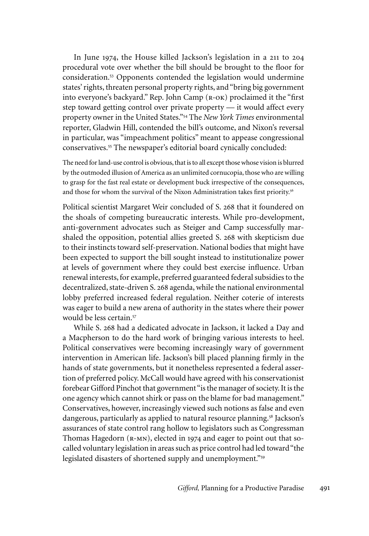In June 1974, the House killed Jackson's legislation in a 211 to 204 procedural vote over whether the bill should be brought to the floor for consideration.<sup>53</sup> Opponents contended the legislation would undermine states' rights, threaten personal property rights, and "bring big government into everyone's backyard." Rep. John Camp (R-OK) proclaimed it the "first step toward getting control over private property — it would affect every property owner in the United States."<sup>54</sup> The *New York Times* environmental reporter, Gladwin Hill, contended the bill's outcome, and Nixon's reversal in particular, was "impeachment politics" meant to appease congressional conservatives.<sup>55</sup> The newspaper's editorial board cynically concluded:

The need for land-use control is obvious, that is to all except those whose vision is blurred by the outmoded illusion of America as an unlimited cornucopia, those who are willing to grasp for the fast real estate or development buck irrespective of the consequences, and those for whom the survival of the Nixon Administration takes first priority.<sup>56</sup>

Political scientist Margaret Weir concluded of S. 268 that it foundered on the shoals of competing bureaucratic interests. While pro-development, anti-government advocates such as Steiger and Camp successfully marshaled the opposition, potential allies greeted S. 268 with skepticism due to their instincts toward self-preservation. National bodies that might have been expected to support the bill sought instead to institutionalize power at levels of government where they could best exercise influence. Urban renewal interests, for example, preferred guaranteed federal subsidies to the decentralized, state-driven S. 268 agenda, while the national environmental lobby preferred increased federal regulation. Neither coterie of interests was eager to build a new arena of authority in the states where their power would be less certain.<sup>57</sup>

While S. 268 had a dedicated advocate in Jackson, it lacked a Day and a Macpherson to do the hard work of bringing various interests to heel. Political conservatives were becoming increasingly wary of government intervention in American life. Jackson's bill placed planning firmly in the hands of state governments, but it nonetheless represented a federal assertion of preferred policy. McCall would have agreed with his conservationist forebear Gifford Pinchot that government "is the manager of society. It is the one agency which cannot shirk or pass on the blame for bad management." Conservatives, however, increasingly viewed such notions as false and even dangerous, particularly as applied to natural resource planning.<sup>58</sup> Jackson's assurances of state control rang hollow to legislators such as Congressman Thomas Hagedorn  $(R-MN)$ , elected in 1974 and eager to point out that socalled voluntary legislation in areas such as price control had led toward "the legislated disasters of shortened supply and unemployment."<sup>59</sup>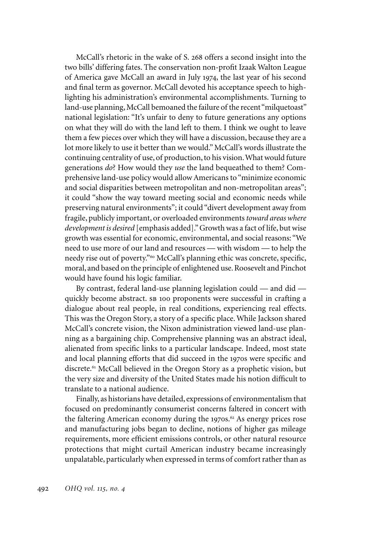McCall's rhetoric in the wake of S. 268 offers a second insight into the two bills' differing fates. The conservation non-profit Izaak Walton League of America gave McCall an award in July 1974, the last year of his second and final term as governor. McCall devoted his acceptance speech to highlighting his administration's environmental accomplishments. Turning to land-use planning, McCall bemoaned the failure of the recent "milquetoast" national legislation: "It's unfair to deny to future generations any options on what they will do with the land left to them. I think we ought to leave them a few pieces over which they will have a discussion, because they are a lot more likely to use it better than we would." McCall's words illustrate the continuing centrality of use, of production, to his vision. What would future generations *do*? How would they *use* the land bequeathed to them? Comprehensive land-use policy would allow Americans to "minimize economic and social disparities between metropolitan and non-metropolitan areas"; it could "show the way toward meeting social and economic needs while preserving natural environments"; it could "divert development away from fragile, publicly important, or overloaded environments *toward areas where development is desired* [emphasis added]." Growth was a fact of life, but wise growth was essential for economic, environmental, and social reasons: "We need to use more of our land and resources — with wisdom — to help the needy rise out of poverty."<sup>60</sup> McCall's planning ethic was concrete, specific, moral, and based on the principle of enlightened use. Roosevelt and Pinchot would have found his logic familiar.

By contrast, federal land-use planning legislation could — and did quickly become abstract. sb 100 proponents were successful in crafting a dialogue about real people, in real conditions, experiencing real effects. This was the Oregon Story, a story of a specific place. While Jackson shared McCall's concrete vision, the Nixon administration viewed land-use planning as a bargaining chip. Comprehensive planning was an abstract ideal, alienated from specific links to a particular landscape. Indeed, most state and local planning efforts that did succeed in the 1970s were specific and discrete.<sup>61</sup> McCall believed in the Oregon Story as a prophetic vision, but the very size and diversity of the United States made his notion difficult to translate to a national audience.

Finally, as historians have detailed, expressions of environmentalism that focused on predominantly consumerist concerns faltered in concert with the faltering American economy during the 1970s.<sup>62</sup> As energy prices rose and manufacturing jobs began to decline, notions of higher gas mileage requirements, more efficient emissions controls, or other natural resource protections that might curtail American industry became increasingly unpalatable, particularly when expressed in terms of comfort rather than as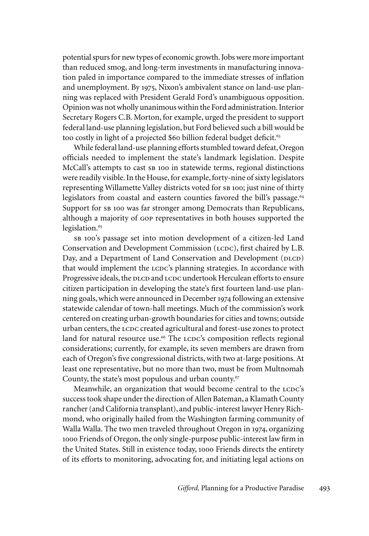potential spurs for new types of economic growth. Jobs were more important than reduced smog, and long-term investments in manufacturing innovation paled in importance compared to the immediate stresses of inflation and unemployment. By 1975, Nixon's ambivalent stance on land-use planning was replaced with President Gerald Ford's unambiguous opposition. Opinion was not wholly unanimous within the Ford administration. Interior Secretary Rogers C.B. Morton, for example, urged the president to support federal land-use planning legislation, but Ford believed such a bill would be too costly in light of a projected \$60 billion federal budget deficit.<sup>63</sup>

While federal land-use planning efforts stumbled toward defeat, Oregon officials needed to implement the state's landmark legislation. Despite McCall's attempts to cast sb 100 in statewide terms, regional distinctions were readily visible. In the House, for example, forty-nine of sixty legislators representing Willamette Valley districts voted for SB 100; just nine of thirty legislators from coastal and eastern counties favored the bill's passage.<sup>64</sup> Support for sb 100 was far stronger among Democrats than Republicans, although a majority of gop representatives in both houses supported the legislation.<sup>65</sup>

sb 100's passage set into motion development of a citizen-led Land Conservation and Development Commission (LCDC), first chaired by L.B. Day, and a Department of Land Conservation and Development (DLCD) that would implement the LCDC's planning strategies. In accordance with Progressive ideals, the DLCD and LCDC undertook Herculean efforts to ensure citizen participation in developing the state's first fourteen land-use planning goals, which were announced in December 1974 following an extensive statewide calendar of town-hall meetings. Much of the commission's work centered on creating urban-growth boundaries for cities and towns; outside urban centers, the LCDC created agricultural and forest-use zones to protect land for natural resource use.<sup>66</sup> The LCDC's composition reflects regional considerations; currently, for example, its seven members are drawn from each of Oregon's five congressional districts, with two at-large positions. At least one representative, but no more than two, must be from Multnomah County, the state's most populous and urban county.<sup>67</sup>

Meanwhile, an organization that would become central to the LCDC's success took shape under the direction of Allen Bateman, a Klamath County rancher (and California transplant), and public-interest lawyer Henry Richmond, who originally hailed from the Washington farming community of Walla Walla. The two men traveled throughout Oregon in 1974, organizing 1000 Friends of Oregon, the only single-purpose public-interest law firm in the United States. Still in existence today, 1000 Friends directs the entirety of its efforts to monitoring, advocating for, and initiating legal actions on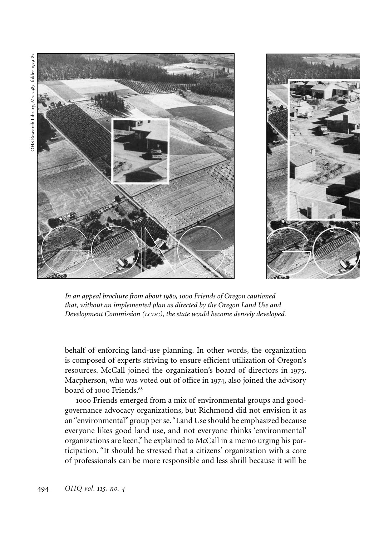



*In an appeal brochure from about 1980, 1000 Friends of Oregon cautioned that, without an implemented plan as directed by the Oregon Land Use and Development Commission (LCDC), the state would become densely developed.* 

behalf of enforcing land-use planning. In other words, the organization is composed of experts striving to ensure efficient utilization of Oregon's resources. McCall joined the organization's board of directors in 1975. Macpherson, who was voted out of office in 1974, also joined the advisory board of 1000 Friends.<sup>68</sup>

1000 Friends emerged from a mix of environmental groups and goodgovernance advocacy organizations, but Richmond did not envision it as an "environmental" group per se. "Land Use should be emphasized because everyone likes good land use, and not everyone thinks 'environmental' organizations are keen," he explained to McCall in a memo urging his participation. "It should be stressed that a citizens' organization with a core of professionals can be more responsible and less shrill because it will be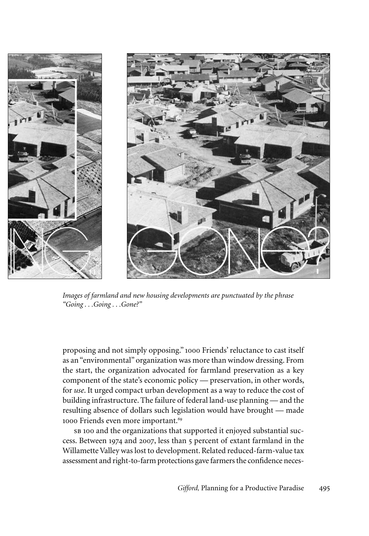

*Images of farmland and new housing developments are punctuated by the phrase "Going . . .Going . . .Gone?"*

proposing and not simply opposing." 1000 Friends' reluctance to cast itself as an "environmental" organization was more than window dressing. From the start, the organization advocated for farmland preservation as a key component of the state's economic policy — preservation, in other words, for *use*. It urged compact urban development as a way to reduce the cost of building infrastructure. The failure of federal land-use planning — and the resulting absence of dollars such legislation would have brought — made 1000 Friends even more important.<sup>69</sup>

sb 100 and the organizations that supported it enjoyed substantial success. Between 1974 and 2007, less than 5 percent of extant farmland in the Willamette Valley was lost to development. Related reduced-farm-value tax assessment and right-to-farm protections gave farmers the confidence neces-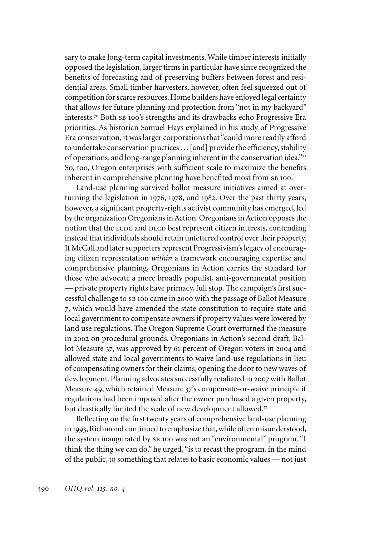sary to make long-term capital investments. While timber interests initially opposed the legislation, larger firms in particular have since recognized the benefits of forecasting and of preserving buffers between forest and residential areas. Small timber harvesters, however, often feel squeezed out of competition for scarce resources. Home builders have enjoyed legal certainty that allows for future planning and protection from "not in my backyard" interests.<sup>70</sup> Both sb 100's strengths and its drawbacks echo Progressive Era priorities. As historian Samuel Hays explained in his study of Progressive Era conservation, it was larger corporations that "could more readily afford to undertake conservation practices . . . [and] provide the efficiency, stability of operations, and long-range planning inherent in the conservation idea."<sup>71</sup> So, too, Oregon enterprises with sufficient scale to maximize the benefits inherent in comprehensive planning have benefited most from  $s$ B 100.

Land-use planning survived ballot measure initiatives aimed at overturning the legislation in 1976, 1978, and 1982. Over the past thirty years, however, a significant property-rights activist community has emerged, led by the organization Oregonians in Action. Oregonians in Action opposes the notion that the LCDC and DLCD best represent citizen interests, contending instead that individuals should retain unfettered control over their property. If McCall and later supporters represent Progressivism's legacy of encouraging citizen representation *within* a framework encouraging expertise and comprehensive planning, Oregonians in Action carries the standard for those who advocate a more broadly populist, anti-governmental position — private property rights have primacy, full stop. The campaign's first successful challenge to sB 100 came in 2000 with the passage of Ballot Measure 7, which would have amended the state constitution to require state and local government to compensate owners if property values were lowered by land use regulations. The Oregon Supreme Court overturned the measure in 2002 on procedural grounds. Oregonians in Action's second draft, Ballot Measure 37, was approved by 61 percent of Oregon voters in 2004 and allowed state and local governments to waive land-use regulations in lieu of compensating owners for their claims, opening the door to new waves of development. Planning advocates successfully retaliated in 2007 with Ballot Measure 49, which retained Measure 37's compensate-or-waive principle if regulations had been imposed after the owner purchased a given property, but drastically limited the scale of new development allowed.<sup>72</sup>

Reflecting on the first twenty years of comprehensive land-use planning in 1993, Richmond continued to emphasize that, while often misunderstood, the system inaugurated by sb 100 was not an "environmental" program. "I think the thing we can do," he urged, "is to recast the program, in the mind of the public, to something that relates to basic economic values — not just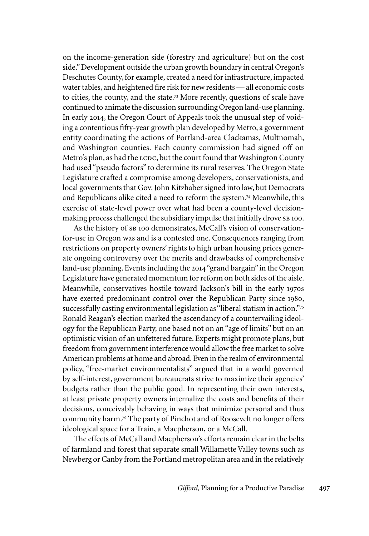on the income-generation side (forestry and agriculture) but on the cost side." Development outside the urban growth boundary in central Oregon's Deschutes County, for example, created a need for infrastructure, impacted water tables, and heightened fire risk for new residents — all economic costs to cities, the county, and the state.<sup>73</sup> More recently, questions of scale have continued to animate the discussion surrounding Oregon land-use planning. In early 2014, the Oregon Court of Appeals took the unusual step of voiding a contentious fifty-year growth plan developed by Metro, a government entity coordinating the actions of Portland-area Clackamas, Multnomah, and Washington counties. Each county commission had signed off on Metro's plan, as had the LCDC, but the court found that Washington County had used "pseudo factors" to determine its rural reserves. The Oregon State Legislature crafted a compromise among developers, conservationists, and local governments that Gov. John Kitzhaber signed into law, but Democrats and Republicans alike cited a need to reform the system.<sup>74</sup> Meanwhile, this exercise of state-level power over what had been a county-level decisionmaking process challenged the subsidiary impulse that initially drove sB 100.

As the history of sb 100 demonstrates, McCall's vision of conservationfor-use in Oregon was and is a contested one. Consequences ranging from restrictions on property owners' rights to high urban housing prices generate ongoing controversy over the merits and drawbacks of comprehensive land-use planning. Events including the 2014 "grand bargain" in the Oregon Legislature have generated momentum for reform on both sides of the aisle. Meanwhile, conservatives hostile toward Jackson's bill in the early 1970s have exerted predominant control over the Republican Party since 1980, successfully casting environmental legislation as "liberal statism in action."<sup>75</sup> Ronald Reagan's election marked the ascendancy of a countervailing ideology for the Republican Party, one based not on an "age of limits" but on an optimistic vision of an unfettered future. Experts might promote plans, but freedom from government interference would allow the free market to solve American problems at home and abroad. Even in the realm of environmental policy, "free-market environmentalists" argued that in a world governed by self-interest, government bureaucrats strive to maximize their agencies' budgets rather than the public good. In representing their own interests, at least private property owners internalize the costs and benefits of their decisions, conceivably behaving in ways that minimize personal and thus community harm.<sup>76</sup> The party of Pinchot and of Roosevelt no longer offers ideological space for a Train, a Macpherson, or a McCall.

The effects of McCall and Macpherson's efforts remain clear in the belts of farmland and forest that separate small Willamette Valley towns such as Newberg or Canby from the Portland metropolitan area and in the relatively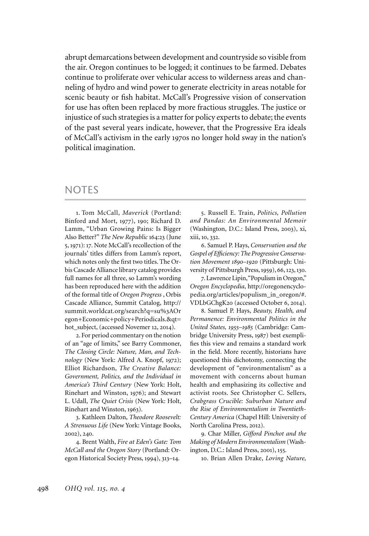abrupt demarcations between development and countryside so visible from the air. Oregon continues to be logged; it continues to be farmed. Debates continue to proliferate over vehicular access to wilderness areas and channeling of hydro and wind power to generate electricity in areas notable for scenic beauty or fish habitat. McCall's Progressive vision of conservation for use has often been replaced by more fractious struggles. The justice or injustice of such strategies is a matter for policy experts to debate; the events of the past several years indicate, however, that the Progressive Era ideals of McCall's activism in the early 1970s no longer hold sway in the nation's political imagination.

## **NOTES**

1. Tom McCall, *Maverick* (Portland: Binford and Mort, 1977), 190; Richard D. Lamm, "Urban Growing Pains: Is Bigger Also Better?" *The New Republic* 164:23 (June 5, 1971): 17. Note McCall's recollection of the journals' titles differs from Lamm's report, which notes only the first two titles. The Orbis Cascade Alliance library catalog provides full names for all three, so Lamm's wording has been reproduced here with the addition of the formal title of *Oregon Progress* , Orbis Cascade Alliance, Summit Catalog, http:// summit.worldcat.org/search?q=su%3AOr egon+Economic+policy+Periodicals.&qt= hot\_subject, (accessed Novemer 12, 2014).

2. For period commentary on the notion of an "age of limits," see Barry Commoner, *The Closing Circle: Nature, Man, and Technology* (New York: Alfred A. Knopf, 1972); Elliot Richardson, *The Creative Balance: Government, Politics, and the Individual in America's Third Century* (New York: Holt, Rinehart and Winston, 1976); and Stewart L. Udall, *The Quiet Crisis* (New York: Holt, Rinehart and Winston, 1963).

3. Kathleen Dalton, *Theodore Roosevelt: A Strenuous Life* (New York: Vintage Books, 2002), 240.

4. Brent Walth, *Fire at Eden's Gate: Tom McCall and the Oregon Story* (Portland: Oregon Historical Society Press, 1994), 313–14.

5. Russell E. Train, *Politics, Pollution and Pandas: An Environmental Memoir* (Washington, D.C.: Island Press, 2003), xi, xiii, 10, 332.

6. Samuel P. Hays, *Conservation and the Gospel of Efficiency: The Progressive Conservation Movement 1890–1920* (Pittsburgh: University of Pittsburgh Press, 1959), 66, 123, 130.

7. Lawrence Lipin, "Populism in Oregon," *Oregon Encyclopedia*, http://oregonencyclopedia.org/articles/populism\_in\_oregon/#. VDLbGChgK20 (accessed October 6, 2014).

8. Samuel P. Hays, *Beauty, Health, and Permanence: Environmental Politics in the United States, 1955–1985* (Cambridge: Cambridge University Press, 1987) best exemplifies this view and remains a standard work in the field. More recently, historians have questioned this dichotomy, connecting the development of "environmentalism" as a movement with concerns about human health and emphasizing its collective and activist roots. See Christopher C. Sellers, *Crabgrass Crucible: Suburban Nature and the Rise of Environmentalism in Twentieth-Century America* (Chapel Hill: University of North Carolina Press, 2012).

9. Char Miller, *Gifford Pinchot and the Making of Modern Environmentalism* (Washington, D.C.: Island Press, 2001), 155.

10. Brian Allen Drake, *Loving Nature,*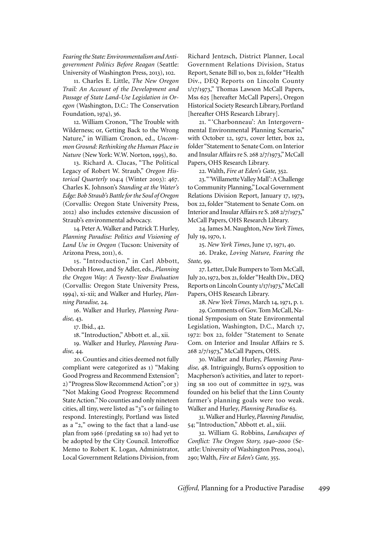*Fearing the State: Environmentalism and Antigovernment Politics Before Reagan* (Seattle: University of Washington Press, 2013), 102.

11. Charles E. Little, *The New Oregon Trail: An Account of the Development and Passage of State Land-Use Legislation in Oregon* (Washington, D.C.: The Conservation Foundation, 1974), 36.

12. William Cronon, "The Trouble with Wilderness; or, Getting Back to the Wrong Nature," in William Cronon, ed., *Uncommon Ground: Rethinking the Human Place in Nature* (New York: W.W. Norton, 1995), 80.

13. Richard A. Clucas, "The Political Legacy of Robert W. Straub," *Oregon Historical Quarterly* 104:4 (Winter 2003): 467. Charles K. Johnson's *Standing at the Water's Edge: Bob Straub's Battle for the Soul of Oregon* (Corvallis: Oregon State University Press, 2012) also includes extensive discussion of Straub's environmental advocacy.

14. Peter A. Walker and Patrick T. Hurley, *Planning Paradise: Politics and Visioning of Land Use in Oregon* (Tucson: University of Arizona Press, 2011), 6.

15. "Introduction," in Carl Abbott, Deborah Howe, and Sy Adler, eds., *Planning the Oregon Way: A Twenty-Year Evaluation* (Corvallis: Oregon State University Press, 1994), xi-xii; and Walker and Hurley, *Planning Paradise,* 24.

16. Walker and Hurley, *Planning Paradise,* 43.

17. Ibid., 42.

18. "Introduction," Abbott et. al., xii.

19. Walker and Hurley, *Planning Paradise,* 44.

20. Counties and cities deemed not fully compliant were categorized as 1) "Making Good Progress and Recommend Extension"; 2) "Progress Slow Recommend Action"; or 3) "Not Making Good Progress: Recommend State Action." No counties and only nineteen cities, all tiny, were listed as "3"s or failing to respond. Interestingly, Portland was listed as a "2," owing to the fact that a land-use plan from 1966 (predating SB 10) had yet to be adopted by the City Council. Interoffice Memo to Robert K. Logan, Administrator, Local Government Relations Division, from Richard Jentzsch, District Planner, Local Government Relations Division, Status Report, Senate Bill 10, box 21, folder "Health Div., DEQ Reports on Lincoln County 1/17/1973," Thomas Lawson McCall Papers, Mss 625 [hereafter McCall Papers], Oregon Historical Society Research Library, Portland [hereafter OHS Research Library].

21. " 'Charbonneau': An Intergovernmental Environmental Planning Scenario," with October 12, 1971, cover letter, box 22, folder "Statement to Senate Com. on Interior and Insular Affairs re S. 268 2/7/1973," McCall Papers, OHS Research Library.

22. Walth, *Fire at Eden's Gate,* 352.

23. "'Willamette Valley Mall': A Challenge to Community Planning," Local Government Relations Division Report, January 17, 1973, box 22, folder "Statement to Senate Com. on Interior and Insular Affairs re S. 268 2/7/1973," McCall Papers, OHS Research Library.

24. James M. Naughton, *New York Times*, July 19, 1970, 1.

25. *New York Times*, June 17, 1971, 40.

26. Drake, *Loving Nature, Fearing the State,* 99.

27. Letter, Dale Bumpers to Tom McCall, July 20, 1972, box 21, folder "Health Div., DEQ Reports on Lincoln County 1/17/1973," McCall Papers, OHS Research Library.

28. *New York Times*, March 14, 1971, p. 1.

29. Comments of Gov. Tom McCall, National Symposium on State Environmental Legislation, Washington, D.C., March 17, 1972: box 22, folder "Statement to Senate Com. on Interior and Insular Affairs re S. 268 2/7/1973," McCall Papers, OHS.

30. Walker and Hurley, *Planning Paradise,* 48. Intriguingly, Burns's opposition to Macpherson's activities, and later to reporting sb 100 out of committee in 1973, was founded on his belief that the Linn County farmer's planning goals were too weak. Walker and Hurley, *Planning Paradise* 63.

31. Walker and Hurley, *Planning Paradise,*  54; "Introduction," Abbott et. al., xiii.

32. William G. Robbins, *Landscapes of Conflict: The Oregon Story, 1940–2000* (Seattle: University of Washington Press, 2004), 290; Walth, *Fire at Eden's Gate,* 355.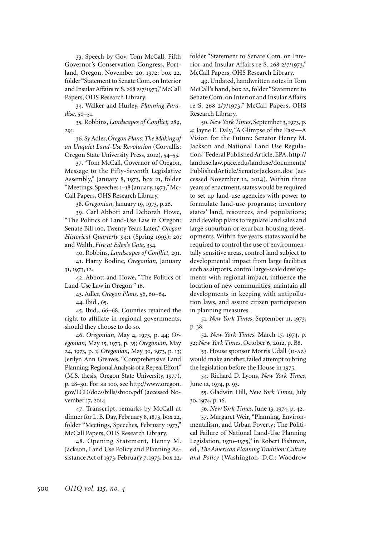33. Speech by Gov. Tom McCall, Fifth Governor's Conservation Congress, Portland, Oregon, November 20, 1972: box 22, folder "Statement to Senate Com. on Interior and Insular Affairs re S. 268 2/7/1973," McCall Papers, OHS Research Library.

34. Walker and Hurley, *Planning Paradise,* 50–51.

35. Robbins, *Landscapes of Conflict,* 289, 291.

36. Sy Adler, *Oregon Plans: The Making of an Unquiet Land-Use Revolution* (Corvallis: Oregon State University Press, 2012), 54–55.

37. "Tom McCall, Governor of Oregon, Message to the Fifty-Seventh Legislative Assembly," January 8, 1973, box 21, folder "Meetings, Speeches 1–18 January, 1973," Mc-Call Papers, OHS Research Library.

38. *Oregonian*, January 19, 1973, p.26.

39. Carl Abbott and Deborah Howe, "The Politics of Land-Use Law in Oregon: Senate Bill 100, Twenty Years Later," *Oregon Historical Quarterly* 94:1 (Spring 1993): 20; and Walth, *Fire at Eden's Gate,* 354.

40. Robbins, *Landscapes of Conflict,* 291. 41. Harry Bodine, *Oregonian*, January 31, 1973, 12.

42. Abbott and Howe, "The Politics of Land-Use Law in Oregon " 16.

43. Adler, *Oregon Plans,* 56, 60–64.

44. Ibid., 65.

45. Ibid., 66–68. Counties retained the right to affiliate in regional governments, should they choose to do so.

46. *Oregonian*, May 4, 1973, p. 44; *Oregonian*, May 15, 1973, p. 35; *Oregonian*, May 24, 1973, p. 1; *Oregonian*, May 30, 1973, p. 13; Jerilyn Ann Greaves, "Comprehensive Land Planning: Regional Analysis of a Repeal Effort" (M.S. thesis, Oregon State University, 1977), p. 28–30. For sb 100, see http://www.oregon. gov/LCD/docs/bills/sb100.pdf (accessed November 17, 2014.

47. Transcript, remarks by McCall at dinner for L. B. Day, February 8, 1873, box 22, folder "Meetings, Speeches, February 1973," McCall Papers, OHS Research Library.

48. Opening Statement, Henry M. Jackson, Land Use Policy and Planning Assistance Act of 1973, February 7, 1973, box 22, folder "Statement to Senate Com. on Interior and Insular Affairs re S. 268 2/7/1973," McCall Papers, OHS Research Library.

49. Undated, handwritten notes in Tom McCall's hand, box 22, folder "Statement to Senate Com. on Interior and Insular Affairs re S. 268 2/7/1973," McCall Papers, OHS Research Library.

50. *New York Times*, September 3, 1973, p. 4; Jayne E. Daly, "A Glimpse of the Past—A Vision for the Future: Senator Henry M. Jackson and National Land Use Regulation," Federal Published Article, EPA, http:// landuse.law.pace.edu/landuse/documents/ PublishedArticle/SenatorJackson.doc (accessed November 12, 2014). Within three years of enactment, states would be required to set up land-use agencies with power to formulate land-use programs; inventory states' land, resources, and populations; and develop plans to regulate land sales and large suburban or exurban housing developments. Within five years, states would be required to control the use of environmentally sensitive areas, control land subject to developmental impact from large facilities such as airports, control large-scale developments with regional impact, influence the location of new communities, maintain all developments in keeping with antipollution laws, and assure citizen participation in planning measures.

51. *New York Times*, September 11, 1973, p. 38.

52. *New York Times*, March 15, 1974, p. 32; *New York Times*, October 6, 2012, p. B8.

53. House sponsor Morris Udall (D-AZ) would make another, failed attempt to bring the legislation before the House in 1975.

54. Richard D. Lyons, *New York Times*, June 12, 1974, p. 93.

55. Gladwin Hill, *New York Times*, July 30, 1974, p. 16.

56. *New York Times*, June 13, 1974, p. 42.

57. Margaret Weir, "Planning, Environmentalism, and Urban Poverty: The Political Failure of National Land-Use Planning Legislation, 1970–1975," in Robert Fishman, ed., *The American Planning Tradition: Culture and Policy* (Washington, D.C.: Woodrow